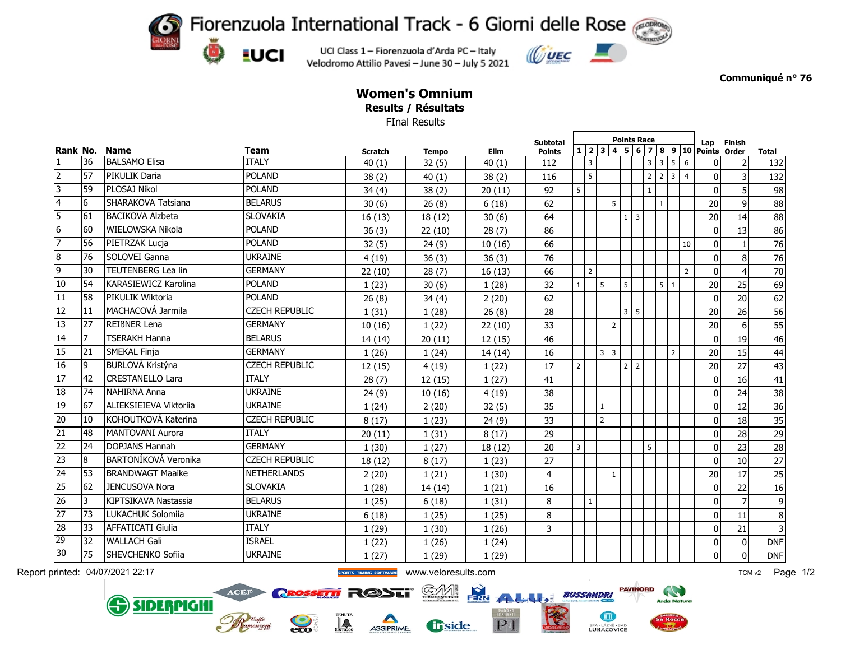Fiorenzuola International Track - 6 Giorni delle Rose

UCI Class 1 - Fiorenzuola d'Arda PC - Italy Velodromo Attilio Pavesi - June 30 - July 5 2021

 $\left(\frac{1}{2}\right)$ 

**LUCI** 

ACEF

**SIDERPIGHI** 



**Communiqué n° 76**

## **Women's Omnium Results / Résultats**

FInal Results

| Rank No.        |    | <b>Name</b>                 | <b>Team</b>           | <b>Scratch</b> | <b>Tempo</b> |             | <b>Subtotal</b> |                |                | <b>Points Race</b><br>$\boxed{4}$ 5 6 7 8 9 10 |              |             |                |                 |                |                | Lap             | <b>Finish</b>   |                         |
|-----------------|----|-----------------------------|-----------------------|----------------|--------------|-------------|-----------------|----------------|----------------|------------------------------------------------|--------------|-------------|----------------|-----------------|----------------|----------------|-----------------|-----------------|-------------------------|
|                 |    |                             |                       |                |              | <b>Elim</b> | <b>Points</b>   |                | 1 2 3          |                                                |              |             |                |                 |                |                | Points Order    |                 | <b>Total</b>            |
| $\mathbf{1}$    | 36 | <b>BALSAMO Elisa</b>        | <b>ITALY</b>          | 40(1)          | 32(5)        | 40(1)       | 112             |                | $\overline{3}$ |                                                |              |             |                | $3 \mid 3 \mid$ | 5 <sub>5</sub> | 6              | 0               | $\overline{2}$  | 132                     |
| $\overline{2}$  | 57 | PIKULIK Daria               | <b>POLAND</b>         | 38(2)          | 40(1)        | 38(2)       | 116             |                | 5 <sup>5</sup> |                                                |              |             | 2 <sup>1</sup> | $\overline{2}$  | 3 <sup>1</sup> | $\overline{4}$ | 0               | $\overline{3}$  | 132                     |
| 3               | 59 | PLOSAJ Nikol                | <b>POLAND</b>         | 34(4)          | 38(2)        | 20(11)      | 92              | 5 <sup>5</sup> |                |                                                |              |             | $\mathbf{1}$   |                 |                |                | $\Omega$        | $\overline{5}$  | 98                      |
| $\overline{4}$  | 6  | SHARAKOVA Tatsiana          | <b>BELARUS</b>        | 30(6)          | 26(8)        | 6(18)       | 62              |                |                |                                                | 5            |             |                | $\mathbf{1}$    |                |                | 20              | 9               | 88                      |
| $\overline{5}$  | 61 | <b>BACIKOVA Alzbeta</b>     | <b>SLOVAKIA</b>       | 16(13)         | 18(12)       | 30(6)       | 64              |                |                |                                                |              | $1 \vert 3$ |                |                 |                |                | 20 <sup>1</sup> | 14              | 88                      |
| $6\overline{6}$ | 60 | WIELOWSKA Nikola            | <b>POLAND</b>         | 36(3)          | 22(10)       | 28(7)       | 86              |                |                |                                                |              |             |                |                 |                |                | 0               | 13              | 86                      |
| 7               | 56 | PIETRZAK Lucja              | <b>POLAND</b>         | 32(5)          | 24(9)        | 10(16)      | 66              |                |                |                                                |              |             |                |                 |                | 10             | 0               | $\mathbf{1}$    | 76                      |
| $\overline{8}$  | 76 | SOLOVEI Ganna               | <b>UKRAINE</b>        | 4(19)          | 36(3)        | 36(3)       | 76              |                |                |                                                |              |             |                |                 |                |                | $\Omega$        | 8               | 76                      |
| 9               | 30 | <b>TEUTENBERG Lea lin</b>   | <b>GERMANY</b>        | 22(10)         | 28(7)        | 16(13)      | 66              |                | $\overline{2}$ |                                                |              |             |                |                 |                | $\overline{2}$ | $\mathbf{0}$    | 4               | $70\,$                  |
| 10              | 54 | <b>KARASIEWICZ Karolina</b> | <b>POLAND</b>         | 1(23)          | 30(6)        | 1(28)       | 32              | $\mathbf{1}$   |                | 5                                              | 5            |             |                | 5 <sup>1</sup>  | $\mathbf{1}$   |                | 20              | 25              | 69                      |
| $\overline{11}$ | 58 | PIKULIK Wiktoria            | <b>POLAND</b>         | 26(8)          | 34(4)        | 2(20)       | 62              |                |                |                                                |              |             |                |                 |                |                | $\mathbf{0}$    | 20              | 62                      |
| 12              | 11 | MACHACOVÁ Jarmila           | <b>CZECH REPUBLIC</b> | 1(31)          | 1(28)        | 26(8)       | 28              |                |                |                                                |              | $3 \mid 5$  |                |                 |                |                | 20              | 26              | 56                      |
| 13              | 27 | REIBNER Lena                | <b>GERMANY</b>        | 10(16)         | 1(22)        | 22(10)      | 33              |                |                |                                                | $\mathbf 2$  |             |                |                 |                |                | 20              | 6 <sup>1</sup>  | 55                      |
| 14              | 7  | <b>TSERAKH Hanna</b>        | <b>BELARUS</b>        | 14 (14)        | 20(11)       | 12(15)      | 46              |                |                |                                                |              |             |                |                 |                |                | $\mathbf{0}$    | 19              | 46                      |
| 15              | 21 | <b>SMEKAL Finia</b>         | <b>GERMANY</b>        | 1(26)          | 1(24)        | 14(14)      | 16              |                |                | $3 \mid 3$                                     |              |             |                |                 | $\overline{2}$ |                | 20              | 15              | 44                      |
| 16              | 9  | BURLOVÁ Kristýna            | <b>CZECH REPUBLIC</b> | 12(15)         | 4(19)        | 1(22)       | 17              | $\overline{2}$ |                |                                                |              | $2 \mid 2$  |                |                 |                |                | 20              | $\overline{27}$ | 43                      |
| $\overline{17}$ | 42 | <b>CRESTANELLO Lara</b>     | <b>ITALY</b>          | 28(7)          | 12(15)       | 1(27)       | 41              |                |                |                                                |              |             |                |                 |                |                | $\overline{0}$  | 16              | 41                      |
| 18              | 74 | <b>NAHIRNA Anna</b>         | <b>UKRAINE</b>        | 24(9)          | 10(16)       | 4(19)       | 38              |                |                |                                                |              |             |                |                 |                |                | $\mathbf{0}$    | 24              | 38                      |
| 19              | 67 | ALIEKSIEIEVA Viktorija      | <b>UKRAINE</b>        | 1(24)          | 2(20)        | 32(5)       | 35              |                |                | $\mathbf{1}$                                   |              |             |                |                 |                |                | 0               | 12              | 36                      |
| $\overline{20}$ | 10 | KOHOUTKOVÁ Katerina         | <b>CZECH REPUBLIC</b> | 8(17)          | 1(23)        | 24(9)       | 33              |                |                | $\overline{2}$                                 |              |             |                |                 |                |                | 0               | 18              | 35                      |
| 21              | 48 | MANTOVANI Aurora            | <b>ITALY</b>          | 20(11)         | 1(31)        | 8(17)       | 29              |                |                |                                                |              |             |                |                 |                |                | 0               | 28              | 29                      |
| 22              | 24 | DOPJANS Hannah              | <b>GERMANY</b>        | 1(30)          | 1(27)        | 18(12)      | 20              | $\overline{3}$ |                |                                                |              |             | 5              |                 |                |                | 0               | 23              | 28                      |
| 23              | 8  | BARTONÍKOVÁ Veronika        | <b>CZECH REPUBLIC</b> | 18(12)         | 8(17)        | 1(23)       | 27              |                |                |                                                |              |             |                |                 |                |                | $\mathbf{0}$    | 10              | $\overline{27}$         |
| 24              | 53 | <b>BRANDWAGT Maaike</b>     | <b>NETHERLANDS</b>    | 2(20)          | 1(21)        | 1(30)       | 4               |                |                |                                                | $\mathbf{1}$ |             |                |                 |                |                | 20              | 17              | 25                      |
| 25              | 62 | <b>JENCUSOVA Nora</b>       | <b>SLOVAKIA</b>       | 1(28)          | 14(14)       | 1(21)       | 16              |                |                |                                                |              |             |                |                 |                |                | $\mathbf{0}$    | 22              | 16                      |
| 26              | 3  | KIPTSIKAVA Nastassia        | <b>BELARUS</b>        | 1(25)          | 6(18)        | 1(31)       | 8               |                | $\mathbf{1}$   |                                                |              |             |                |                 |                |                | 0               | $\overline{7}$  | $\boldsymbol{9}$        |
| 27              | 73 | LUKACHUK Solomiia           | <b>UKRAINE</b>        | 6(18)          | 1(25)        | 1(25)       | 8               |                |                |                                                |              |             |                |                 |                |                | 0               | 11              | 8                       |
| 28              | 33 | <b>AFFATICATI Giulia</b>    | <b>ITALY</b>          | 1(29)          | 1(30)        | 1(26)       | 3               |                |                |                                                |              |             |                |                 |                |                | $\mathbf 0$     | 21              | $\overline{\mathbf{3}}$ |
| 29              | 32 | <b>WALLACH Gali</b>         | <b>ISRAEL</b>         | 1(22)          | 1(26)        | 1(24)       |                 |                |                |                                                |              |             |                |                 |                |                | 0               | $\overline{0}$  | <b>DNF</b>              |
| 30              | 75 | SHEVCHENKO Sofiia           | <b>UKRAINE</b>        | 1(27)          | 1(29)        | 1(29)       |                 |                |                |                                                |              |             |                |                 |                |                | $\overline{0}$  | $\overline{0}$  | <b>DNF</b>              |

Report printed: 04/07/2021 22:17 **We are also assumed to the community of the community of the community of the community of the community of the community of the community of the community of the community of the communit** 

ASSIPRIME

**ROSSETTI RØSTI** 

eco

SM

**Trside** 

**PERRI FRENCE BUSSANDRI** 

**PAVINORD** 

 $\Box$ 

SPA - LÁZNĚ - BAD<br>LUHAČOVICE

**AND**